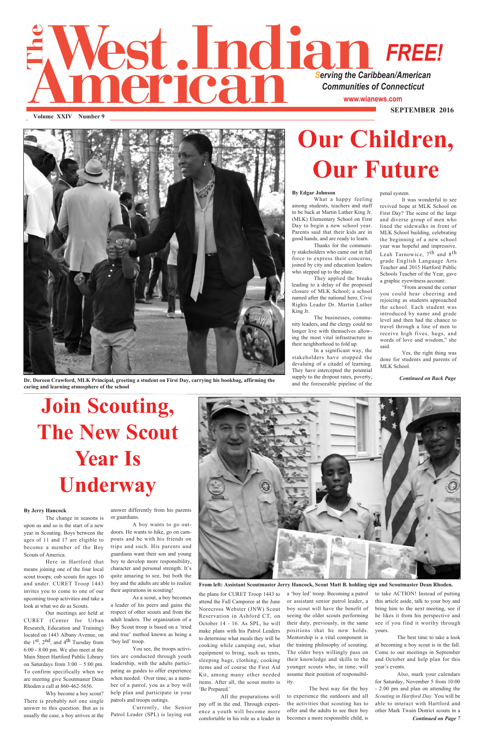## **Vest. Indian FREE** *FREE!* erican *Communities of Connecticut* **www.wianews.com SEPTEMBER 2016**

**Volume XXIV Number 9**

penal system.

It was wonderful to see revived hope at MLK School on First Day? The scene of the large and diverse group of men who lined the sidewalks in front of MLK School building, celebrating the beginning of a new school year was hopeful and impressive. Leah Tarnowicz, 7th and 8th grade English Language Arts Teacher and 2015 Hartford Public Schools Teacher of the Year, gave a graphic eyewitness account:

"From around the corner you could hear cheering and rejoicing as students approached the school. Each student was introduced by name and grade level and then had the chance to travel through a line of men to receive high fives, hugs, and words of love and wisdom," she said.

Yes, the right thing was done for students and parents of MLK School.

#### **By Edgar Johnson**

What a happy feeling among students, teachers and staff to be back at Martin Luther King Jr. (MLK) Elementary School on First Day to begin a new school year. Parents said that their kids are in good hands, and are ready to learn.

Thanks for the community stakeholders who came out in full force to express their concerns, joined by city and education leaders who stepped up to the plate.

They applied the breaks leading to a delay of the proposed closure of MLK School; a school named after the national hero, Civic Rights Leader Dr. Martin Luther King Jr.

The businesses, community leaders, and the clergy could no longer live with themselves allowing the most vital infrastructure in their neighborhood to fold up.

In a significant way, the stakeholders have stopped the devaluing of a citadel of learning. They have intercepted the potential supply to the dropout rates, poverty, and the foreseeable pipeline of the

# **Our Children, Our Future**



**Dr. Doreen Crawford, MLK Principal, greeting a student on First Day, carrying his bookbag, affirming the caring and learning atmosphere of the school**

**From left: Assistant Scoutmaster Jerry Hancock, Scout Matt B. holding sign and Scoutmaster Dean Rhoden.**

# **Join Scouting, The New Scout Year Is Underway**

answer differently from his parents or guardians.

A boy wants to go outdoors. He wants to hike, go on campouts and be with his friends on trips and such. His parents and guardians want their son and young boy to develop more responsibility, character and personal strength. It's quite amazing to see, but both the boy and the adults are able to realize their aspirations in scouting! As a scout, a boy becomes a leader of his peers and gains the respect of other scouts and from the adult leaders. The organization of a Boy Scout troop is based on a 'tried and true' method known as being a 'boy led' troop. You see, the troops activities are conducted through youth leadership, with the adults participating as guides to offer experience when needed. Over time, as a member of a patrol, you as a boy will help plan and participate in your patrols and troops outings.



Currently, the Senior Patrol Leader (SPL) is laying out

#### **By Jerry Hancock**

The change in seasons is upon us and so is the start of a new year in Scouting. Boys between the ages of 11 and 17 are eligible to become a member of the Boy

Scouts of America.

Here in Hartford that means joining one of the four local scout troops; cub scouts for ages 10 and under. CURET Troop 1443 invites you to come to one of our upcoming troop activities and take a look at what we do as Scouts.

Our meetings are held at CURET (Center for Urban Research, Education and Training) located on 1443 Albany Avenue, on the 1st, 2nd, and 4th Tuesday from 6:00 - 8:00 pm. We also meet at the Main Street Hartford Public Library on Saturdays from 3:00 – 5:00 pm. To confirm specifically when we are meeting give Scoutmaster Dean Rhoden a call at 860-462-5656.

Why become a boy scout? There is probably not one single answer to this question. But as is usually the case, a boy arrives at the the plans for CURET Troop 1443 to attend the Fall Camporee at the June Norecross Webster (JNW) Scout Reservation in Ashford CT, on October 14 - 16. As SPL, he will make plans with his Patrol Leaders to determine what meals they will be cooking while camping out, what equipment to bring, such as tents, sleeping bags, clothing, cooking items and of course the First Aid Kit, among many other needed items. After all, the scout motto is 'Be Prepared.'

All the preparations will pay off in the end. Through experience a youth will become more comfortable in his role as a leader in a 'boy led' troop. Becoming a patrol or assistant senior patrol leader, a boy scout will have the benefit of seeing the older scouts performing their duty, previously, in the same positions that he now holds. Mentorship is a vital component in the training philosophy of scouting. The older boys willingly pass on their knowledge and skills to the younger scouts who, in time, will assume their position of responsibility.

The best way for the boy to experience the outdoors and all the activities that scouting has to offer and the adults to see their boy becomes a more responsible child, is to take ACTION! Instead of putting this article aside, talk to your boy and bring him to the next meeting, see if he likes it from his perspective and see if you find it worthy through yours.

The best time to take a look at becoming a boy scout is in the fall. Come to our meetings in September and October and help plan for this year's events.

Also, mark your calendars for Saturday, November 5 from 10:00 - 2:00 pm and plan on attending the *Scouting in Hartford Day.* You will be able to interact with Hartford and other Mark Twain District scouts in a *Continued on Page 7*

*Continued on Back Page*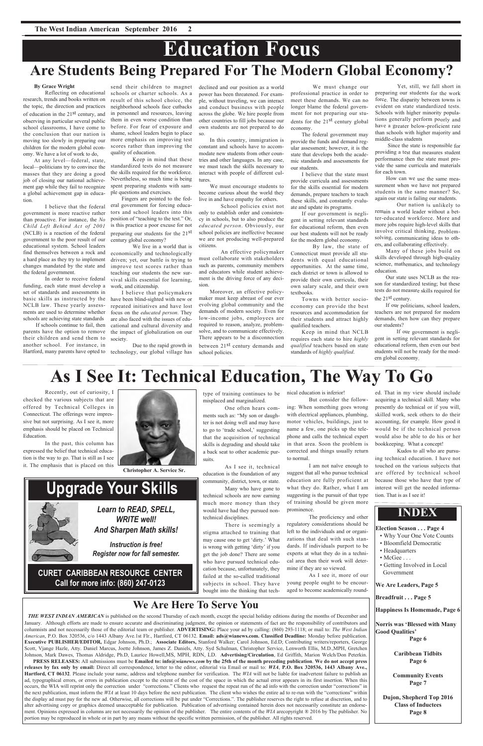### **We Are Here To Serve You**

*THE WEST INDIAN AMERICAN* is published on the second Thursday of each month, except the special holiday editions during the months of December and

January. Although efforts are made to ensure accurate and discriminating judgment, the opinion or statements of fact are the responsibility of contributors and columnists and not necessarily those of the editorial team or publisher. **ADVERTISING:** Place your ad by calling: (860) 293-1118; or mail to: *The West Indian American*, P.O. Box 320536, c/o 1443 Albany Ave.1st Flr., Hartford, CT 06132. **Email: ads@wianews.com. Classified Deadline:** Monday before publication. **Executive PUBLISHER/EDITOR,** Edgar Johnson, Ph.D.; **Associate Editors,** Stanford Walker; Carol Johnson, Ed.D; Contributing writers/reporters, George Scott, Vjange Hazle, Atty. Daniel Marcus, Joette Johnson, James Z. Daniels, Atty. Syd Schulman, Christopher Service, Lenworth Ellis, M.D.,MPH, Gretchen Johnson, Mark Dawes, Thomas Aldridge, Ph.D, Laurice Howell,MS, MPH, RDN, LD. **Advertising/Circulation**, Ed Griffith, Marion Welch/Don Peterkin.

**PRESS RELEASES:** All submissions must be **Emailed to: info@***wianews.com* **by the 25th of the month preceding publication**. **We do not accept press releases by fax only by email:** Direct all correspondence, letter to the editor, editorial via Email or mail to: *WIA*, **P.O. Box 320536, 1443 Albany Ave., Hartford, CT 06132**. Please include your name, address and telephone number for verification. The *WIA* will not be liable for inadvertent failure to publish an ad, typographical errors, or errors in publication except to the extent of the cost of the space in which the actual error appears in its first insertion. When this occurs, the WIA will reprint only the correction under "corrections." Clients who request the repeat run of the ad info with the correction under "corrections" in the next publication, must inform the *WIA* at least 10 days before the next publication. The client who wishes the entire ad to re-run with the "corrections" within the display ad must pay for the new ad. Otherwise, all corrections will be put under "Corrections.". The publisher reserves the right to refuse at discretion, and to alter advertising copy or graphics deemed unacceptable for publication. Publication of advertising contained herein does not necessarily constitute an endorsement. Opinions expressed in columns are not necessarily the opinion of the publisher. The entire contents of the *WIA* arecopyright ® 2016 by The publisher. No portion may be reproduced in whole or in part by any means without the specific written permission, of the publisher. All rights reserved.

Yet, still, we fall short in preparing our students for the work force. The disparity between towns is evident on state standardized tests. Schools with higher minority populations generally perform poorly and have a greater below-proficient rate than schools with higher majority and middle-class students

Since the state is responsible for providing a test that measures student performance then the state must provide the same curricula and materials for each town.

How can we use the same measurement when we have not prepared students in the same manner? So, again our state is failing our students.

Our nation is unlikely to remain a world leader without a better-educated workforce. More and more jobs require high-level skills that involve critical thinking, problemsolving, communicating ideas to others, and collaborating effectively.

Many of these jobs build on skills developed through high-quality science, mathematics, and technology education.

Our state uses NCLB as the reason for standardized testing; but these tests do not measure skills required for the 21st century.

If our politicians, school leaders, teachers are not prepared for modern demands, then how can they prepare our students?

If our government is negligent in setting relevant standards for educational reform, then even our best students will not be ready for the modern global economy.

We must change our professional practice in order to meet these demands. We can no longer blame the federal government for not preparing our students for the 21st century global economy.

The federal government may provide the funds and demand regular assessment; however, it is the state that develops both the academic standards and assessments for our students.

I believe that the state must provide curricula and assessments for the skills essential for modern demands, prepare teachers to teach these skills, and constantly evaluate and update its programs.

If our government is negligent in setting relevant standards for educational reform, then even our best students will not be ready for the modern global economy.

By law, the state of Connecticut must provide all students with equal educational opportunities. At the same time, each district or town is allowed to provide their own curricula, their own salary scale, and their own textbooks.

Towns with better socioeconomy can provide the best resources and accommodation for their students and attract highly qualified teachers.

Keep in mind that NCLB requires each state to hire *highly qualified* teachers based on state standards of *highly qualified*.

#### **By Grace Wright**

Reflecting on educational research, trends and books written on the topic, the direction and practices of education in the 21st century, and observing in particular several public school classrooms, I have come to the conclusion that our nation is moving too slowly in preparing our children for the modern global economy. We have a lot of work to do,

At any level—federal, state, local—politicians try to convince the masses that they are doing a good job of closing our national achievement gap while they fail to recognize a global achievement gap in education.

I believe that the federal government is more reactive rather than proactive. For instance, the *No Child Left Behind Act of 2001* (NCLB) is a reaction of the federal government to the poor result of our educational system. School leaders find themselves between a rock and a hard place as they try to implement changes mandated by the state and the federal government.

In order to receive federal funding, each state must develop a set of standards and assessments in basic skills as instructed by the NCLB law. These yearly assessments are used to determine whether schools are achieving state standards

> *Learn to READ, SPELL, WRITE well!*



*And Sharpen Math skills!*

*Instruction is free!*

#### *Register now for fall semester.*

### **CURET CARIBBEAN RESOURCE CENTER Call for more info: (860) 247-0123**

**Upgrade Your Skills**

send their children to magnet schools or charter schools. As a result of this school choice, the neighborhood schools face cutbacks in personnel and resources, leaving them in even worse condition than before. For fear of exposure and shame, school leaders begin to place more emphasis on improving test scores rather than improving the quality of education.

Keep in mind that these standardized tests do not measure the skills required for the workforce. Nevertheless, so much time is being spent preparing students with sample questions and exercises.

If schools continue to fail, then parents have the option to remove their children and send them to society. another school. For instance, in Hartford, many parents have opted to technology, our global village has

Fingers are pointed to the federal government for forcing educators and school leaders into this position of "teaching to the test." Or, is this practice a poor excuse for not preparing our students for the 21st century global economy?

We live in a world that is economically and technologically driven; yet, our battle is trying to improve test scores rather than teaching our students the new survival skills essential for learning, work, and citizenship.

I believe that policymakers have been blind-sighted with new or repeated initiatives and have lost focus on the *educated person*. They are also faced with the issues of educational and cultural diversity and the impact of globalization on our

Due to the rapid growth in

declined and our position as a world power has been threatened. For example, without traveling, we can interact and conduct business with people across the globe. We hire people from other countries to fill jobs because our own students are not prepared to do so.

In this country, immigration is constant and schools have to accommodate new students from other countries and other languages. In any case, we must teach the skills necessary to interact with people of different cultures.

We must encourage students to become curious about the world they live in and have empathy for others.

School policies exist not only to establish order and consistency in schools, but to also produce the *educated person*. Obviously, our school policies are ineffective because we are not producing well-prepared citizens.

An effective policymaker must collaborate with stakeholders such as parents, community members and educators while student achievement is the driving force of any decision.

Moreover, an effective policymaker must keep abreast of our ever evolving global community and the demands of modern society. Even for low-income jobs, employees are required to reason, analyze, problemsolve, and to communicate effectively. There appears to be a disconnection between 21st century demands and school policies.

> **Election Season . . . Page 4** • Why Your One Vote Counts

• Bloomfield Democratic

| • Headquarters                |
|-------------------------------|
| $\bullet$ McGee $\ldots$      |
| • Getting Involved in Local   |
| Government                    |
|                               |
| We Are Leaders, Page 5        |
| BreadfruitPage 5              |
| Happiness Is Homemade, Page 6 |
| Norris was 'Blessed with Many |
| <b>Good Qualities'</b>        |
| Page 6                        |
| <b>Caribbean Tidbits</b>      |
| Page 6                        |
| <b>Community Events</b>       |
| Page 7                        |
| Dujon, Shepherd Top 2016      |
| <b>Class of Inductees</b>     |
| Page 8                        |
|                               |

### **INDEX**

ed. That in my view should include acquiring a technical skill. Many who presently do technical or if you will, skilled work, seek others to do their accounting, for example. How good it would be if the technical person would also be able to do his or her bookkeeping. What a concept!

Kudos to all who are pursuing technical education. I have not touched on the various subjects that are offered by technical school because those who have that type of interest will get the needed information. That is as I see it!

nical education is inferior!

But consider the following: When something goes wrong with electrical appliances, plumbing, motor vehicles, buildings, just to name a few, one picks up the telephone and calls the technical expert in that area. Soon the problem is corrected and things usually return to normal.

I am not naïve enough to suggest that all who pursue technical education are fully proficient at what they do. Rather, what I am suggesting is the pursuit of that type of training should be given more prominence.

The proficiency and other regulatory considerations should be left to the individuals and or organizations that deal with such standards. If individuals purport to be experts at what they do in a technical area then their work will determine if they are so viewed.

## **Education Focus Are Students Being Prepared For The Modern Global Economy?**

As I see it, more of our young people ought to be encouraged to become academically round-

type of training continues to be misplaced and marginalized.

One often hears comments such as: "My son or daughter is not doing well and may have to go to 'trade school,' suggesting that the acquisition of technical skills is degrading and should take a back seat to other academic pursuits.

As I see it, technical education is the foundation of any community, district, town, or state.

Many who have gone to technical schools are now earning much more money than they would have had they pursued nontechnical disciplines.

There is seemingly a stigma attached to training that may cause one to get 'dirty.' What is wrong with getting 'dirty' if you get the job done? There are some who have pursued technical education because, unfortunately, they failed at the so-called traditional subjects in school. They have bought into the thinking that tech-

Recently, out of curiosity, I checked the various subjects that are offered by Technical Colleges in Connecticut. The offerings were impressive but not surprising. As I see it, more emphasis should be placed on Technical Education.

In the past, this column has expressed the belief that technical education is the way to go. That is still as I see it. The emphasis that is placed on this



## **As I See It: Technical Education, The Way To Go**

**Christopher A. Service Sr.**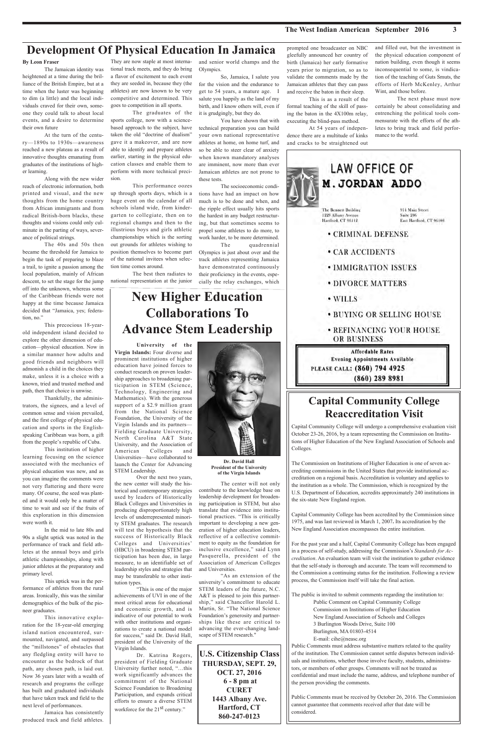#### **The West Indian American September 2016 3**

and filled out, but the investment in the physical education component of nation building, even though it seems inconsequential to some, is vindication of the teaching of Guts Smuts, the efforts of Herb McKenley, Arthur Wint, and those before.

The next phase must now certainly be about consolidating and entrenching the political tools commensurate with the efforts of the athletes to bring track and field performance to the world.



### **Capital Community College Reaccreditation Visit**

Capital Community College will undergo a comprehensive evaluation visit October 23-26, 2016, by a team representing the Commission on Institutions of Higher Education of the New England Association of Schools and Colleges.

The Commission on Institutions of Higher Education is one of seven accrediting commissions in the United States that provide institutional accreditation on a regional basis. Accreditation is voluntary and applies to the institution as a whole. The Commission, which is recognized by the U.S. Department of Education, accredits approximately 240 institutions in the six-state New England region.

Capital Community College has been accredited by the Commission since 1975, and was last reviewed in March 1, 2007. Its accreditation by the New England Association encompasses the entire institution.

For the past year and a half, Capital Community College has been engaged

prompted one broadcaster on NBC gleefully announced her country of birth (Jamaica) her early formative years prior to migration, so as to validate the comments made by the Jamaican athletes that they can pass and receive the baton in their sleep.

This is as a result of the formal teaching of the skill of passing the baton in the 4X100m relay, executing the blind-pass method.

At 54 years of independence there are a multitude of kinks and cracks to be straightened out

and senior world champs and the Olympics.

So, Jamaica, I salute you for the vision and the endurance to get to 54 years, a mature age. I salute you happily as the land of my birth, and I know others will, even if it is grudgingly, but they do.

You have shown that with technical preparation you can build your own national representative athletes at home, on home turf, and so be able to steer clear of anxiety when known mandatory analyses are imminent, now more than ever Jamaican athletes are not prone to these tests.

The socioeconomic conditions have had an impact on how much is to be done and when, and the ripple effect usually hits sports the hardest in any budget restructuring, but that sometimes seems to propel some athletes to do more, to work harder, to be more determined.

The quadrennial Olympics is just about over and the track athletes representing Jamaica have demonstrated continuously their proficiency in the events, especially the relay exchanges, which

They are now staple at most international track meets, and they do bring a flavor of excitement to each event they are seeded in, because they (the athletes) are now known to be very competitive and determined. This goes to competition in all sports.

The graduates of the sports college, now with a sciencebased approach to the subject, have taken the old "doctrine of dualism" gave it a makeover, and are now able to identify and prepare athletes earlier, starting in the physical education classes and enable them to perform with more technical precision.

This performance oozes up through sports days, which is a huge event on the calendar of all schools island wide, from kindergarten to collegiate, then on to regional champs and then to the illustrious boys and girls athletic championships which is the sorting out grounds for athletes wishing to position themselves to become part of the national invitees when selection time comes around.

The best then radiates to national representation at the junior

#### **By Leon Fraser**

The Jamaican identity was heightened at a time during the brilliance of the British Empire, but at a time when the luster was beginning to dim (a little) and the local individuals craved for their own, someone they could talk to about local events, and a desire to determine their own future

At the turn of the century—1890s to 1930s—awareness reached a new plateau as a result of innovative thoughts emanating from graduates of the institutions of higher learning.

Along with the new wider reach of electronic information, both printed and visual, and the new thoughts from the home country from African immigrants and from radical British-born blacks, these thoughts and visions could only culminate in the parting of ways, severance of political strings.

> Dr. Katrina Rogers, president of Fielding Graduate University further noted, "…this work significantly advances the commitment of the National Science Foundation to Broadening Participation, and expands critical efforts to ensure a diverse STEM workforce for the 21<sup>st</sup> century."

The 40s and 50s then became the threshold for Jamaica to begin the task of preparing to blaze a trail, to ignite a passion among the local population, mainly of African descent, to set the stage for the jump off into the unknown, whereas some of the Caribbean friends were not happy at the time because Jamaica decided that "Jamaica, yes; federation, no."

This precocious 18-yearold independent island decided to explore the other dimension of education—physical education. Now in a similar manner how adults and good friends and neighbors will admonish a child in the choices they make, unless it is a choice with a known, tried and trusted method and path, then that choice is unwise.

Thankfully, the administrators, the signees, and a level of common sense and vision prevailed, and the first college of physical education and sports in the Englishspeaking Caribbean was born, a gift from the people's republic of Cuba.

This institution of higher learning focusing on the science associated with the mechanics of physical education was new, and as you can imagine the comments were not very flattering and there were many. Of course, the seed was planted and it would only be a matter of time to wait and see if the fruits of this exploration in this dimension were worth it.

In the mid to late 80s and 90s a slight uptick was noted in the performance of track and field athletes at the annual boys and girls athletic championships, along with junior athletes at the preparatory and primary level.

This uptick was in the performance of athletes from the rural areas. Ironically, this was the similar demographics of the bulk of the pioneer graduates.

This innovative exploration for the 18-year-old emerging island nation encountered, surmounted, navigated, and surpassed the "millstones" of obstacles that any fledgling entity will have to encounter as the bedrock of that path, any chosen path, is laid out. Now 36 years later with a wealth of research and programs the college has built and graduated individuals that have taken track and field to the next level of performances.

Jamaica has consistently produced track and field athletes.

### **Development Of Physical Education In Jamaica**

## **New Higher Education Collaborations To Advance Stem Leadership**

**University of the**

**Virgin Islands:** Four diverse and prominent institutions of higher education have joined forces to conduct research on proven leadership approaches to broadening participation in STEM (Science, Technology, Engineering and Mathematics). With the generous support of a \$2.9 million grant from the National Science Foundation, the University of the Virgin Islands and its partners— Fielding Graduate University, North Carolina A&T State University, and the Association of American Colleges and Universities—have collaborated to launch the Center for Advancing STEM Leadership.

Over the next two years, the new center will study the historical and contemporary strategies used by leaders of Historically Black Colleges and Universities in producing disproportionately high levels of underrepresented minority STEM graduates. The research will test the hypothesis that the success of Historically Black Colleges and Universities' (HBCU) in broadening STEM participation has been due, in large measure, to an identifiable set of leadership styles and strategies that may be transferable to other institution types.



"This is one of the major achievements of UVI in one of the most critical areas for educational and economic growth, and is indicative of our potential to work with other institutions and organizations to create a national model for success," said Dr. David Hall, president of the University of the Virgin Islands.

The center will not only contribute to the knowledge base on leadership development for broadening participation in STEM, but also translate that evidence into institutional practices. "This is critically important to developing a new generation of higher education leaders, reflective of a collective commitment to equity as the foundation for inclusive excellence," said Lynn Pasquerella, president of the Association of American Colleges and Universities. "As an extension of the university's commitment to educate STEM leaders of the future, N.C. A&T is pleased to join this partnership," said Chancellor Harold L. Martin, Sr. "The National Science Foundation's generosity and partnerships like these are critical to advancing the ever-changing landscape of STEM research."

**Dr. David Hall President of the University of the Virgin Islands**

**U.S. Citizenship Class THURSDAY, SEPT. 29, OCT. 27, 2016 6 - 8 pm at CURET 1443 Albany Ave. Hartford, CT 860-247-0123**

in a process of self-study, addressing the Commission's Standards for Ac*creditation*. An evaluation team will visit the institution to gather evidence that the self-study is thorough and accurate. The team will recommend to the Commission a continuing status for the institution. Following a review process, the Commission itself will take the final action.

The public is invited to submit comments regarding the institution to: Public Comment on Capital Community College Commission on Institutions of Higher Education New England Association of Schools and Colleges 3 Burlington Woods Drive, Suite 100 Burlington, MA 01803-4514 E-mail: cihe@neasc.org Public Comments must address substantive matters related to the quality

of the institution. The Commission cannot settle disputes between individuals and institutions, whether those involve faculty, students, administrators, or members of other groups. Comments will not be treated as confidential and must include the name, address, and telephone number of the person providing the comments.

Public Comments must be received by October 26, 2016. The Commission cannot guarantee that comments received after that date will be considered.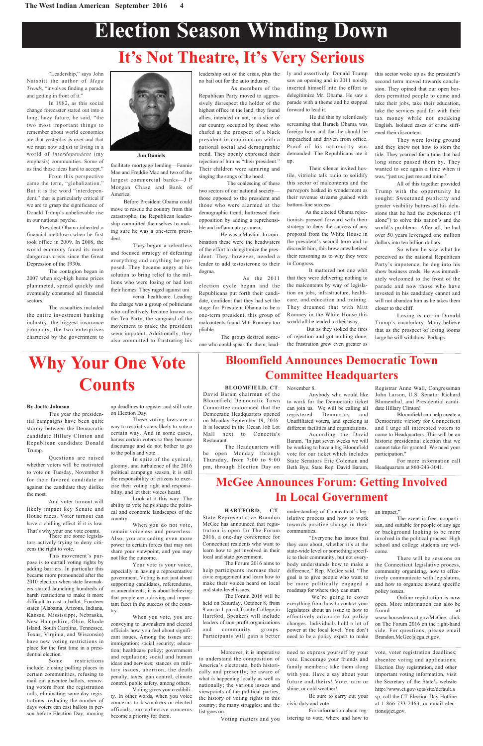# **Election Season Winding Down**

"Leadership," says John Naisbitt the author of *Mega Trends*, "involves finding a parade and getting in front of it."

In 1982, as this social change forecaster stared out into a long, hazy future, he said, "the two most important things to remember about world economics are that yesterday is over and that we must now adjust to living in a world of *interdependent* (my emphasis) communities. Some of us find those ideas hard to accept." From this perspective

came the term, "globalization." But it is the word "interdependent," that is particularly critical if we are to grasp the significance of Donald Trump's unbelievable rise in our national psyche.

President Obama inherited a financial meltdown when he first took office in 2009. In 2008, the world economy faced its most dangerous crisis since the Great Depression of the 1930s.

The contagion began in 2007 when sky-high home prices plummeted, spread quickly and eventually consumed all financial sectors.

The casualties included the entire investment banking industry, the biggest insurance company, the two enterprises chartered by the government to



facilitate mortgage lending—Fannie Mae and Freddie Mac and two of the largest commercial banks—J P Morgan Chase and Bank of America.

Before President Obama could move to rescue the country from this catastrophe, the Republican leadership committed themselves to making sure he was a one-term president.

They began a relentless and focused strategy of defeating everything and anything he proposed. They became angry at his solution to bring relief to the millions who were losing or had lost their homes. They raged against uni

versal healthcare. Leading the charge was a group of politicians who collectively became known as the Tea Party, the vanguard of the movement to make the president seem impotent. Additionally, they also committed to frustrating his leadership out of the crisis, plus the no bail out for the auto industry.

As members of the Republican Party moved to aggressively disrespect the holder of the highest office in the land, they found allies, intended or not, in a slice of our country occupied by those who chafed at the prospect of a black president in combination with a national social and demographic trend. They openly expressed their rejection of him as "their president." Their children were admiring and singing the songs of the hood.

The coalescing of these two sectors of our national society those opposed to the president and those who were alarmed at the demographic trend, buttressed their opposition by adding a reprehensible and inflammatory smear.

He was a Muslim. In combination these were the headwaters of the effort to delegitimize the president. They, however, needed a leader to add testosterone to their dogma.

As the 2011 election cycle began and the Republicans put forth their candidate, confident that they had set the stage for President Obama to be a one-term president, this group of malcontents found Mitt Romney too pliable.

The group desired someone who could speak for them, loudly and assertively. Donald Trump saw an opening and in 2011 noisily inserted himself into the effort to delegitimize Mr. Obama. He saw a parade with a theme and he stepped forward to lead it.

He did this by relentlessly screaming that Barack Obama was foreign born and that he should be impeached and driven from office. Proof of his nationality was demanded. The Republicans ate it up.

Their silence invited hostile, vitriolic talk radio to solidify this sector of malcontents and the purveyors basked in wonderment as their revenue streams gushed with bottom-line success.

As the elected Obama rejectionists pressed forward with their strategy to deny the success of any proposal from the White House in the president's second term and to discredit him, this brew anesthetized their reasoning as to why they were in Congress.

It mattered not one whit that they were delivering nothing to the malcontents by way of legislation on jobs, infrastructure, healthcare, and education and training. They dreamed that with Mitt Romney in the White House this would all be tended to their way.

> Online registration is now open. More information can also be found

But as they stoked the fires of rejection and got nothing done, the frustration grew even greater as this sector woke up as the president's second term moved towards conclusion. They opined that our open borders permitted people to come and take their jobs, take their education, take the services paid for with their tax money while not speaking English. Isolated cases of crime stiffened their discontent.

They were losing ground and they knew not how to stem the tide. They yearned for a time that had long since passed them by. They wanted to see again a time when it was, "just us; just me and mine."

All of this together provided Trump with the opportunity he sought: Sweetened publicity and greater visibility buttressed his delusions that he had the experience ("I alone") to solve this nation's and the world's problems. After all, he had over 50 years leveraged one million dollars into ten billion dollars.

So when he saw what he perceived as the national Republican Party's impotence, he dug into his show business creds. He was immediately welcomed to the front of the parade and now those who have invested in his candidacy cannot and will not abandon him as he takes them closer to the cliff.

Losing is not in Donald Trump's vocabulary. Many believe that as the prospect of losing looms large he will withdraw. Perhaps.

## **It's Not Theatre, It's Very Serious**

### **McGee Announces Forum: Getting Involved In Local Government**

**BLOOMFIELD, CT**: David Baram chairman of the Bloomfield Democratic Town Committee announced that the Democratic Headquarters opened on Monday September 19, 2016. It is located in the Ocean Job Lot Mall next to Concetta's Restaurant.

The Headquarters will be open Monday through Thursday, from 7:00 to 9:00 pm, through Election Day on

### **Bloomfield Announces Democratic Town Committee Headquarters**

#### November 8.

Anybody who would like to work for the Democratic ticket can join us. We will be calling all registered Democrats and Unaffiliated voters, and speaking at different facilities and organizations.

According the David Baram, "In just seven weeks we will be working to have a big Bloomfield vote for our ticket which includes State Senators Eric Coleman and Beth Bye, State Rep. David Baram,

Registrar Anne Wall, Congressman John Larson, U.S. Senator Richard Blumenthal, and Presidential candidate Hillary Clinton!

Bloomfield can help create a Democratic victory for Connecticut and I urge all interested voters to come to Headquarters. This will be an historic presidential election that we cannot take for granted. We need your participation."

For more information call Headquarters at 860-243-3041.

#### **HARTFORD, CT**: State Representative Brandon McGee has announced that registration is open for The Forum 2016, a one-day conference for Connecticut residents who want to

learn how to get involved in their local and state government.

The Forum 2016 aims to help participants increase their civic engagement and learn how to make their voices heard on local and state-level issues.

The Forum 2016 will be held on Saturday, October 8, from 9 am to 1 pm at Trinity College in Hartford. Speakers will include leaders of non-profit organizations and community groups. Participants will gain a better

understanding of Connecticut's legislative process and how to work towards positive change in their communities.

"Everyone has issues that they care about, whether it's at the

an impact."

state-wide level or something specific to their community, but not everybody understands how to make a difference," Rep. McGee said. "The goal is to give people who want to be more politically engaged a roadmap for where they can start.

We're going to cover everything from how to contact your legislators about an issue to how to effectively advocate for policy changes. Individuals hold a lot of power at the local level. You don't need to be a policy expert to make

The event is free, nonpartisan, and suitable for people of any age or background looking to be more involved in the political process. High school and college students are wel-

come.

There will be sessions on the Connecticut legislative process, community organizing, how to effectively communicate with legislators, and how to organize around specific policy issues.

www.housedems.ct.gov/McGee; click on The Forum 2016 on the right-hand side. For questions, please email Brandon.McGee@cga.ct.gov.

## **Why Your One Vote Counts**

up deadlines to register and still vote on Election Day.

These voting laws are a way to restrict voters likely to vote a certain way. And in some cases, harass certain voters so they become discourage and do not bother to go to the polls and vote.

In spite of the cynical, gloomy, and turbulence of the 2016 political campaign season, it is still the responsibility of citizens to exercise their voting right and responsibility, and let their voices heard.

Look at it this way: The ability to vote helps shape the political and economic landscapes of the country.

When you do not vote, remain voiceless and powerless. Also, you are ceding even more power to certain forces that may not share your viewpoint, and you may not like the outcome.

Your vote is your voice, especially in having a representative government. Voting is not just about supporting candidates, referendums, or amendments; it is about believing that people are a driving and important facet in the success of the country.

When you vote, you are conveying to lawmakers and elected officials how you feel about significant issues. Among the issues are: immigration; social security; education; healthcare policy; government and regulation; social and human ideas and services; stances on military issues, abortion, the death penalty, taxes, gun control, climate control, public safety, among others.

Voting gives you credibility. In other words, when you voice concerns to lawmakers or elected officials, our collective concerns become a priority for them.

#### **By Joette Johnson**

This year the presidential campaigns have been quite stormy between the Democratic candidate Hillary Clinton and Republican candidate Donald Trump.

Questions are raised whether voters will be motivated to vote on Tuesday, November 8 for their favored candidate or against the candidate they dislike the most.

And voter turnout will likely impact key Senate and House races. Voter turnout can have a chilling effect if it is low. That's why your one vote counts. There are some legisla-

tors actively trying to deny citi-

zens the right to vote.

This movement's purpose is to curtail voting rights by adding barriers. In particular this became more pronounced after the 2010 election when state lawmakers started launching hundreds of harsh restrictions to make it more difficult to cast a ballot. Fourteen states (Alabama, Arizona, Indiana, Kansas, Mississippi, Nebraska, New Hampshire, Ohio, Rhode Island, South Carolina, Tennessee, Texas, Virginia, and Wisconsin) have new voting restrictions in place for the first time in a presidential election.

Some restrictions include, closing polling places in certain communities, refusing to mail out absentee ballots, removing voters from the registration rolls, eliminating same-day registrations, reducing the number of days voters can cast ballots in person before Election Day, moving

Moreover, it is imperative to understand the composition of America's electorate, both historically and presently; be aware of what is happening locally as well as nationally; the various issues and viewpoints of the political parties; the history of voting rights in this country; the many struggles; and the list goes on.

Voting matters and you

need to express yourself by your vote. Encourage your friends and family members; take them along with you. Have a say about your future and theirs! Vote, rain or shine, or cold weather!

Be sure to carry out your civic duty and vote.

For information about registering to vote, where and how to

vote, voter registration deadlines; absentee voting and applications; Election Day registration, and other important voting information, visit the Secretary of the State's website http://www.ct.gov/sots/site/default.a sp, call the CT Election Day Hotline at 1-866-733-2463, or email elections@ct.gov.

**Jim Daniels**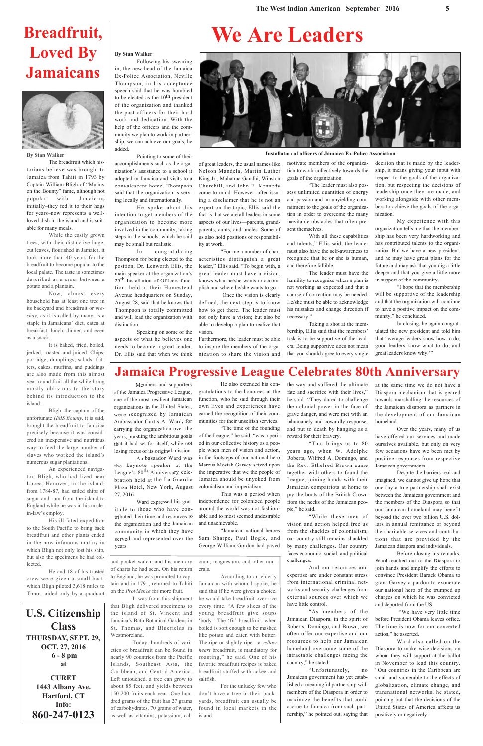## **Breadfruit, Loved By Jamaicans**



**By Stan Walker**

The breadfruit which historians believe was brought to Jamaica from Tahiti in 1793 by Captain William Bligh of "Mutiny on the Bounty" fame, although not popular with Jamaicans initially–they fed it to their hogs for years–now represents a wellloved dish in the island and is suitable for many meals.

While the easily grown trees, with their distinctive large, cut leaves, flourished in Jamaica, it took more than 40 years for the breadfruit to become popular to the local palate. The taste is sometimes described as a cross between a potato and a plantain.

Now, almost every household has at least one tree in its backyard and breadfruit or *breshay,* as it is called by many, is a staple in Jamaicans' diet, eaten at breakfast, lunch, dinner, and even as a snack.

It is baked, fried, boiled, jerked, roasted and juiced. Chips, porridge, dumplings, salads, fritters, cakes, muffins, and puddings are also made from this almost year-round fruit all the while being mostly oblivious to the story behind its introduction to the island.

Bligh, the captain of the unfortunate *HMS Bounty,* it is said, brought the breadfruit to Jamaica precisely because it was considered an inexpensive and nutritious way to feed the large number of slaves who worked the island's numerous sugar plantations.

An experienced navigator, Bligh, who had lived near Lucea, Hanover, in the island, from 1784-87, had sailed ships of sugar and rum from the island to England while he was in his unclein-law's employ.

His ill-fated expedition to the South Pacific to bring back breadfruit and other plants ended in the now infamous mutiny in which Bligh not only lost his ship, but also the specimens he had collected.

He and 18 of his trusted crew were given a small boat, which Bligh piloted 3,618 miles to Timor, aided only by a quadrant

**Installation of officers of Jamaica Ex-Police Association**

decision that is made by the leadership, it means giving your input with respect to the goals of the organization, but respecting the decisions of leadership once they are made, and working alongside with other members to achieve the goals of the organization.

My experience with this organization tells me that the membership has been very hardworking and has contributed talents to the organization. But we have a new president, and he may have great plans for the future and may ask that you dig a little deeper and that you give a little more in support of the community.

"I hope that the membership will be supportive of the leadership and that the organization will continue to have a positive impact on the community," he concluded.

In closing, he again congratulated the new president and told him that 'average leaders know how to do; good leaders know what to do; and great leaders know why.'"

#### **By Stan Walker**

Following his swearing in, the new head of the Jamaica Ex-Police Association, Neville Thompson, in his acceptance speech said that he was humbled to be elected as the 10<sup>th</sup> president of the organization and thanked the past officers for their hard work and dedication. With the help of the officers and the community we plan to work in partnership, we can achieve our goals, he added.

Pointing to some of their accomplishments such as the organization's assistance to a school it adopted in Jamaica and visits to a convalescent home. Thompson said that the organization is serv-

ing locally and internationally.

He spoke about his intention to get members of the organization to become more involved in the community, taking steps in the schools, which he said may be small but realistic.

In congratulating Thompson for being elected to the position, Dr. Lenworth Ellis, the main speaker at the organization's 25<sup>th</sup> Installation of Officers function, held at their Homestead Avenue headquarters on Sunday, August 28, said that he knows that Thompson is totally committed and will lead the organization with distinction.

Speaking on some of the aspects of what he believes one needs to become a great leader, Dr. Ellis said that when we think of great leaders, the usual names like Nelson Mandela, Martin Luther King Jr., Mahatma Gandhi, Winston Churchill, and John F. Kennedy come to mind. However, after issuing a disclaimer that he is not an expert on the topic, Ellis said the fact is that we are all leaders in some aspects of our lives—parents, grandparents, aunts, and uncles. Some of us also hold positions of responsibility at work.

"For me a number of characteristics distinguish a great leader," Ellis said. "To begin with, a great leader must have a vision, knows what he/she wants to accomplish and where he/she wants to go.

Once the vision is clearly defined, the next step is to know how to get there. The leader must not only have a vision; but also be able to develop a plan to realize that vision.

Furthermore, the leader must be able to inspire the members of the organization to share the vision and

motivate members of the organization to work collectively towards the goals of the organization.

"The leader must also possess unlimited quantities of energy and passion and an unyielding commitment to the goals of the organization in order to overcome the many inevitable obstacles that often present themselves.

With all these capabilities and talents," Ellis said, the leader must also have the self-awareness to recognize that he or she is human, and therefore fallible.

The leader must have the humility to recognize when a plan is not working as expected and that a course of correction may be needed. He/she must be able to acknowledge his mistakes and change direction if necessary."

Taking a shot at the membership, Ellis said that the members' task is to be supportive of the leaders. Being supportive does not mean that you should agree to every single

**We Are Leaders**

### **Jamaica Progressive League Celebrates 80th Anniversary**

Members and supporters of the Jamaica Progressive League, one of the most resilient Jamaican organizations in the United States, were recognized by Jamaican Ambassador Curtis A. Ward, for carrying the organization over the years, pursuing the ambitious goals that it had set for itself, while not losing focus of its original mission.

Ambassador Ward was the keynote speaker at the League's 80th Anniversary celebration held at the La Guardia Plaza Hotel, New York, August 27, 2016.

Ward expressed his gratitude to those who have contributed their time and resources to the organization and the Jamaican community in which they have served and represented over the years.

He also extended his congratulations to the honorees at the function, who he said through their own lives and experiences have earned the recognition of their communities for their unselfish services.

"The time of the founding of the League," he said, "was a period in our collective history as a people when men of vision and action, in the footsteps of our national hero Marcus Mosiah Garvey seized upon the imperative that we the people of Jamaica should be unyoked from colonialism and imperialism.

This was a period when independence for colonized people around the world was not fashionable and to most seemed undesirable and unachievable.

"Jamaican national heroes Sam Sharpe, Paul Bogle, and George William Gordon had paved the way and suffered the ultimate fate and sacrifice with their lives," he said. "They dared to challenge the colonial power in the face of grave danger, and were met with an inhumanely and cowardly response, and put to death by hanging as a reward for their bravery.

"That brings us to 80 years ago, when W. Adolphe Roberts, Wilfred A. Domingo, and the Rev. Ethelred Brown came together with others to found the League, joining hands with their Jamaican compatriots at home to pry the boots of the British Crown from the necks of the Jamaican people," he said.

"While these men of vision and action helped free us from the shackles of colonialism, our country still remains shackled by many challenges. Our country faces economic, social, and political challenges.

And our resources and expertise are under constant stress from international criminal networks and security challenges from external sources over which we have little control.

"As members of the Jamaican Diaspora, in the spirit of Roberts, Domingo, and Brown, we often offer our expertise and our resources to help our Jamaican homeland overcome some of the intractable challenges facing the country," he stated.

"Unfortunately, no Jamaican government has yet established a meaningful partnership with members of the Diaspora in order to maximize the benefits that could accrue to Jamaica from such partnership," he pointed out, saying that

at the same time we do not have a Diaspora mechanism that is geared towards marshalling the resources of the Jamaican disapora as partners in the development of our Jamaican homeland.

Over the years, many of us have offered our services and made ourselves available, but only on very few occasions have we been met by positive responses from respective Jamaican governments.

Despite the barriers real and imagined, we cannot give up hope that one day a true partnership shall exist between the Jamaican government and the members of the Diaspora so that our Jamaican homeland may benefit beyond the over two billion U.S. dollars in annual remittance or beyond the charitable services and contributions that are provided by the Jamaican disapora and individuals.



Before closing his remarks, Ward reached out to the Diaspora to join hands and amplify the efforts to convince President Barack Obama to grant Garvey a pardon to exonerate our national hero of the trumped up charges on which he was convicted and deported from the US.

"We have very little time before President Obama leaves office. The time is now for our concerted action," he asserted.

Ward also called on the Diaspora to make wise decisions on whom they will support at the ballot in November to lead this country. "Our countries in the Caribbean are small and vulnerable to the effects of globalization, climate change, and transnational networks, he stated, pointing out that the decisions of the United States of America affects us positively or negatively.

and pocket watch, and his memory of charts he had seen. On his return to England, he was promoted to captain and in 1791, returned to Tahiti on the *Providence* for more fruit.

It was from this shipment that Bligh delivered specimens to the island of St. Vincent and Jamaica's Bath Botanical Gardens in St. Thomas, and Bluefields in Westmoreland.

Today, hundreds of varieties of breadfruit can be found in nearly 90 countries from the Pacific Islands, Southeast Asia, the Caribbean, and Central America. Left untouched, a tree can grow to about 85 feet, and yields between 150-200 fruits each year. One hundred grams of the fruit has 27 grams of carbohydrates, 70 grams of water, as well as vitamins, potassium, calcium, magnesium, and other minerals.

According to an elderly Jamaican with whom I spoke, he said that if he were given a choice, he would take breadfruit over rice every time. "A few slices of the young breadfruit give soups 'body.' The 'fit' breadfruit, when boiled is soft enough to be mashed like potato and eaten with butter. The ripe or slightly ripe—a *yellow heart* breadfruit, is mandatory for roasting," he said. One of his favorite breadfruit recipes is baked breadfruit stuffed with ackee and saltfish.

For the unlucky few who don't have a tree in their backyards, breadfruit can usually be found in local markets in the island.

### **U.S. Citizenship Class THURSDAY, SEPT. 29, OCT. 27, 2016 6 - 8 pm at**

**CURET 1443 Albany Ave. Hartford, CT Info: 860-247-0123**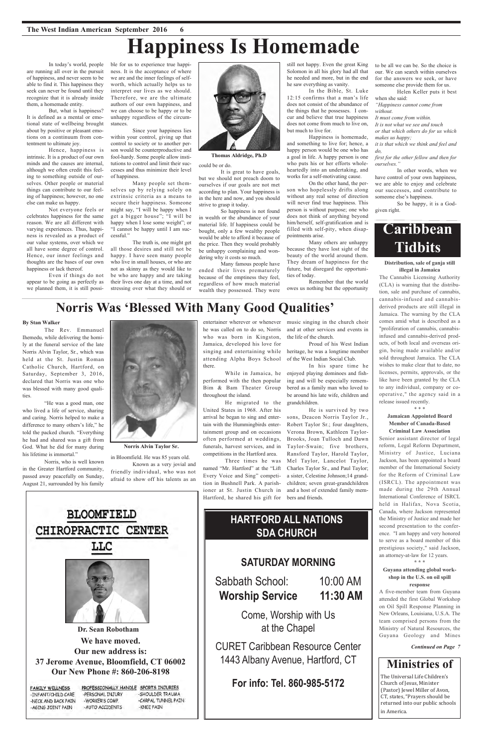**We have moved. Our new address is: 37 Jerome Avenue, Bloomfield, CT 06002 Our New Phone #: 860-206-8198 Dr. Sean Robotham**

| -PERSONAL INJURY | -SHOULDER TRAUMA                      |
|------------------|---------------------------------------|
| -WORKER'S COMP.  | -CARPAL TUNNEL PAIN                   |
| -AUTO ACCIDENTS  | -KNEE PAIN                            |
|                  | PROFESSIONALLY HANDLE SPORTS INJURIES |

## **Ministries of**

Sabbath School: 10:00 AM **Worship Service 11:30 AM**

> The Universal Life Children's Church of Jesus, Minister (Pastor) Jewel Miller of Avon, CT, states, "Prayers should be returned into our public schools in America.

The Rev. Emmanuel Ihemedu, while delivering the homily at the funeral service of the late Norris Alvin Taylor, Sr., which was held at the St. Justin Roman Catholic Church, Hartford, on Saturday, September 3, 2016, declared that Norris was one who was blessed with many good qualities

### **SATURDAY MORNING**

Come, Worship with Us at the Chapel

CURET Caribbean Resource Center 1443 Albany Avenue, Hartford, CT

**For info: Tel. 860-985-5172**

## **HARTFORD ALL NATIONS SDA CHURCH**

**BLOOMFIELD** CHIROPRACTIC CENTER



# **Happiness Is Homemade**

#### **By Stan Walker**

"He was a good man, one who lived a life of service, sharing and caring. Norris helped to make a difference to many others's life," he told the packed church. "Everything he had and shared was a gift from God. What he did for many during his lifetime is immortal."

Norris, who is well known in the Greater Hartford community, passed away peacefully on Sunday, August 21, surrounded by his family



**Norris Alvin Taylor Sr.**

in Bloomfield. He was 85 years old.

Known as a very jovial and friendly individual, who was not afraid to show off his talents as an

entertainer wherever or whenever he was called on to do so, Norris who was born in Kingston, Jamaica, developed his love for singing and entertaining while attending Alpha Boys School there.

While in Jamaica, he performed with the then popular Bim & Bam Theater Group throughout the island.

He migrated to the United States in 1968. After his arrival he began to sing and entertain with the Hummingbirds entertainment group and on occasions often performed at weddings, funerals, harvest services, and in competitions in the Hartford area.

Three times he was named "Mr. Hartford" at the "Lift Every Voice and Sing" competition in Bushnell Park. A parishioner at St. Justin Church in Hartford, he shared his gift for music singing in the church choir and at other services and events in the life of the church.

Proud of his West Indian heritage, he was a longtime member of the West Indian Social Club.

In his spare time he enjoyed playing dominoes and fishing and will be especially remembered as a family man who loved to be around his late wife, children and grandchildren.

He is survived by two sons, Deacon Norris Taylor Jr., Robert Taylor Sr.; four daughters, Verona Brown, Kathleen Taylor-Brooks, Joan Tulloch and Dawn Taylor-Swain; five brothers, Ransford Taylor, Harold Taylor, Mel Taylor, Lancelot Taylor, Charles Taylor Sr., and Paul Taylor; a sister, Celestine Johnson;14 grandchildren; seven great-grandchildren and a host of extended family members and friends.

## **Norris Was 'Blessed With Many Good Qualities'**



**Thomas Aldridge, Ph.D**

In today's world, people are running all over in the pursuit of happiness, and never seem to be able to find it. This happiness they seek can never be found until they recognize that it is already inside them, a homemade entity.

But, what is happiness? It is defined as a mental or emotional state of wellbeing brought about by positive or pleasant emotions on a continuum from contentment to ultimate joy.

Hence, happiness is intrinsic. It is a product of our own minds and the causes are internal, although we often credit this feeling to something outside of ourselves. Other people or material things can contribute to our feeling of happiness; however, no one else can make us happy.

Not everyone feels or celebrates happiness for the same reason. We are all different with varying experiences. Thus, happiness is revealed as a product of our value systems, over which we all have some degree of control. Hence, our inner feelings and thoughts are the bases of our own happiness or lack thereof.

Even if things do not appear to be going as perfectly as we planned them, it is still possible for us to experience true happiness. It is the acceptance of where we are and the inner feelings of selfworth, which actually helps us to interpret our lives as we should. Therefore, we are the ultimate authors of our own happiness, and we can choose to be happy or to be unhappy regardless of the circumstances.

Since your happiness lies within your control, giving up that control to society or to another person would be counterproductive and fool-hardy. Some people allow institutions to control and limit their successes and thus minimize their level of happiness.

Many people set themselves up by relying solely on extrinsic criteria as a means to secure their happiness. Someone might say, "I will be happy when I get a bigger house"; "I will be happy when I lose some weight"; or "I cannot be happy until I am successful."

The truth is, one might get all those desires and still not be happy. I have seen many people who live in small houses, or who are not as skinny as they would like to be who are happy and are taking their lives one day at a time, and not stressing over what they should or

#### could be or do.

It is great to have goals, but we should not preach doom to ourselves if our goals are not met according to plan. Your happiness is in the here and now, and you should strive to grasp it today.

So happiness is not found in wealth or the abundance of your material life. If happiness could be bought, only a few wealthy people would be able to afford it because of the price. Then they would probably be unhappy complaining and wondering why it costs so much.

Many famous people have ended their lives prematurely because of the emptiness they feel, regardless of how much material wealth they possessed. They were

still not happy. Even the great King Solomon in all his glory had all that he needed and more, but in the end he saw everything as vanity.

In the Bible, St. Luke 12:15 confirms that a man's life does not consist of the abundance of the things that he possesses. I concur and believe that true happiness does not come from much to live on, but much to live for.

Happiness is homemade, and something to live for; hence, a happy person would be one who has a goal in life. A happy person is one who puts his or her efforts wholeheartedly into an undertaking, and works for a self-motivating cause.

On the other hand, the person who hopelessly drifts along without any real sense of direction will never find true happiness. This person is without purpose; one who does not think of anything beyond him/herself, self-gratification and is filled with self-pity, when disappointments arise.

Many others are unhappy because they have lost sight of the beauty of the world around them. They dream of happiness for the future, but disregard the opportunities of today.

Remember that the world owes us nothing but the opportunity to be all we can be. So the choice is our. We can search within ourselves for the answers we seek, or have someone else provide them for us.

Helen Keller puts it best when she said:

*"Happiness cannot come from without.*

*It must come from within.*

*It is not what we see and touch or that which others do for us which makes us happy;*

*it is that which we think and feel and do,*

*first for the other fellow and then for ourselves."*

In other words, when we have control of your own happiness, we are able to enjoy and celebrate our successes, and contribute to someone else's happiness.

So be happy, it is a Godgiven right.

## **Caribbean Tidbits**

#### **Distribution, sale of ganja still illegal in Jamaica**

The Cannabis Licensing Authority (CLA) is warning that the distribution, sale and purchase of cannabis, cannabis-infused and cannabisderived products are still illegal in Jamaica. The warning by the CLA comes amid what is described as a "proliferation of cannabis, cannabisinfused and cannabis-derived products, of both local and overseas origin, being made available and/or sold throughout Jamaica. The CLA wishes to make clear that to date, no licenses, permits, approvals, or the like have been granted by the CLA to any individual, company or cooperative," the agency said in a release issued recently.

\* \* \*

#### **Jamaican Appointed Board Member of Canada-Based Criminal Law Association**

Senior assistant director of legal reform, Legal Reform Department, Ministry of Justice, Luciana Jackson, has been appointed a board member of the International Society for the Reform of Criminal Law (ISRCL). The appointment was made during the 29th Annual International Conference of ISRCL held in Halifax, Nova Scotia, Canada, where Jackson represented the Ministry of Justice and made her second presentation to the conference. "I am happy and very honored to serve as a board member of this prestigious society," said Jackson, an attorney-at-law for 12 years. **\* \* \***

**Guyana attending global workshop in the U.S. on oil spill**

#### **response**

A five-member team from Guyana attended the first Global Workshop on Oil Spill Response Planning in New Orleans, Louisiana, U.S.A. The team comprised persons from the Ministry of Natural Resources, the Guyana Geology and Mines

*Continued on Page 7*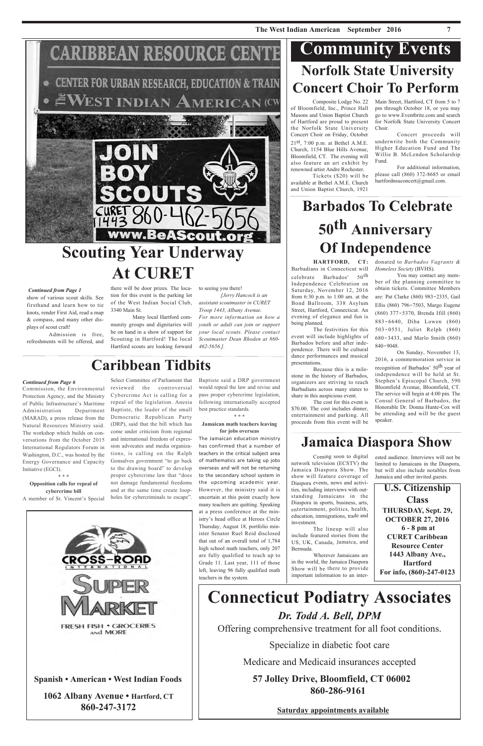## **CARIBBEAN RESOURCE CENT**

**CENTER FOR URBAN RESEARCH, EDUCATION & TRAIN** WEST INDIAN AMERICAN (CW

## **Connecticut Podiatry Associates** *Dr. Todd A. Bell, DPM*

Offering comprehensive treatment for all foot conditions.

Specialize in diabetic foot care

Medicare and Medicaid insurances accepted

**57 Jolley Drive, Bloomfield, CT 06002 860-286-9161**

**Saturday appointments available**

**Spanish • American • West Indian Foods**

**1062 Albany Avenue • Hartford, CT 860-247-3172**

show of various scout skills. See firsthand and learn how to tie knots, render First Aid, read a map & compass, and many other displays of scout craft!

Admission is free, refreshments will be offered, and

there will be door prizes. The location for this event is the parking lot of the West Indian Social Club, 3340 Main St.

Many local Hartford community groups and dignitaries will be on hand in a show of support for Scouting in Hartford! The local Hartford scouts are looking forward to seeing you there!

*[Jerry Hancock is an assistant scoutmaster in CURET Troop 1443, Albany Avenue. For more information on how a youth or adult can join or support your local scouts. Please contact Scoutmaster Dean Rhoden at 860- 462-5656.].*

HARTFORD, CT: donated to *Barbados Vagrants & Homeless Society* (BVHS).

Composite Lodge No. 22 of Bloomfield, Inc., Prince Hall Masons and Union Baptist Church of Hartford are proud to present the Norfolk State University Concert Choir on Friday, October  $21<sup>st</sup>$ , 7:00 p.m. at Bethel A.M.E. Church, 1154 Blue Hills Avenue, Bloomfield, CT. The evening will also feature an art exhibit by renowned artist Andre Rochester.

## **Norfolk State University Concert Choir To Perform Community Events**

Tickets (\$20) will be available at Bethel A.M.E. Church and Union Baptist Church, 1921

Main Street, Hartford, CT from 5 to 7 pm through October 18, or you may go to www.Eventbrite.com and search for Norfolk State University Concert Choir.

Concert proceeds will underwrite both the Community Higher Education Fund and The Willie B. McLendon Scholarship Fund.

For additional information, please call (860) 372-8685 or email hartfordnsuconcert@gmail.com.

## **Barbados To Celebrate 50th Anniversary Of Independence**

You may contact any member of the planning committee to obtain tickets. Committee Members are: Pat Clarke (860) 983‐2335, Gail Ellis (860) 796‐7503, Margo Eugene (860) 377‐5370, Brenda Ifill (860) 883‐6640, Diba Lowen (860) 503‐0551, Juliet Relph (860) 680‐3433, and Marlo Smith (860) 840‐9048.

On Sunday, November 13, 2016, a commemoration service in recognition of Barbados' 50<sup>th</sup> year of independence will be held at St. Stephen's Episcopal Church, 590 Bloomfield Avenue, Bloomfield, CT. The service will begin at 4:00 pm. The Consul General of Barbados, the Honorable Dr. Donna Hunte-Cox will be attending and will be the guest speaker.

Barbadians in Connecticut will celebrate Barbados' 50th Independence Celebration on Saturday, November 12, 2016 from 6:30 p.m. to 1:00 am. at the Bond Ballroom, 338 Asylum Street, Hartford, Connecticut. An evening of elegance and fun is being planned.

The festivities for this event will include highlights of Barbados before and after independence. There will be cultural dance performances and musical presentations.

Because this is a milestone in the history of Barbados, organizers are striving to reach Barbadians across many states to share in this auspicious event.

The cost for this event is \$70.00. The cost includes dinner, entertainment and parking. All proceeds from this event will be

> ested audience. Interviews will not be limited to Jamaicans in the Diaspora, but will also include notables from





FRESH FISH . GROCERIES AND MORE

Coming soon to digital

network television (ECSTV) the Jamaica Diaspora Show. The show will feature coverage of Diaspora events, news and activities, including interviews with outstanding Jamaicans in the Diaspora in sports, business, arts, entertainment, politics, health, education, immigrations, trade and

investment.



The lineup will also

include featured stories from the US, UK, Canada, Jamaica, and

Bermuda.

Wherever Jamaicans are in the world, the Jamaica Diaspora Show will be there to provide important information to an inter-

**Jamaica Diaspora Show**

**1443 Albany Ave., Hartford For info, (860)-247-0123**



#### *Continued from Page 1*

## **Caribbean Tidbits**

Baptiste said a DRP government would repeal the law and revise and pass proper cybercrime legislation, following internationally accepted best practice standards.

**\* \* \***

#### **Jamaican math teachers leaving for jobs overseas**

The Jamaican education ministry has confirmed that a number of teachers in the critical subject area of mathematics are taking up jobs overseas and will not be returning to the secondary school system in the upcoming academic year. However, the ministry said it is uncertain at this point exactly how many teachers are quitting. Speaking at a press conference at the ministry's head office at Heroes Circle Thursday, August 18, portfolio minister Senator Ruel Reid disclosed that out of an overall total of 1,784 high school math teachers, only 207 are fully qualified to teach up to Grade 11. Last year, 111 of those left, leaving 96 fully qualified math teachers in the system.

Select Committee of Parliament that reviewed the controversial Cybercrime Act is calling for a repeal of the legislation. Anesia Baptiste, the leader of the small Democratic Republican Party (DRP), said that the bill which has come under criticism from regional and international freedom of expression advocates and media organizations, is calling on the Ralph Gonsalves government "to go back to the drawing board" to develop proper cybercrime law that "does not damage fundamental freedoms and at the same time create loopholes for cybercriminals to escape".

Commission, the Environmental Protection Agency, and the Ministry of Public Infrastructure's Maritime Administration Department (MARAD), a press release from the Natural Resources Ministry said. The workshop which builds on conversations from the October 2015 International Regulators Forum in Washington, D.C., was hosted by the Energy Governance and Capacity Initiative (EGCI).

\* \* \*

**Opposition calls for repeal of cybercrime bill** A member of St. Vincent's Special

#### *Continued from Page 6*